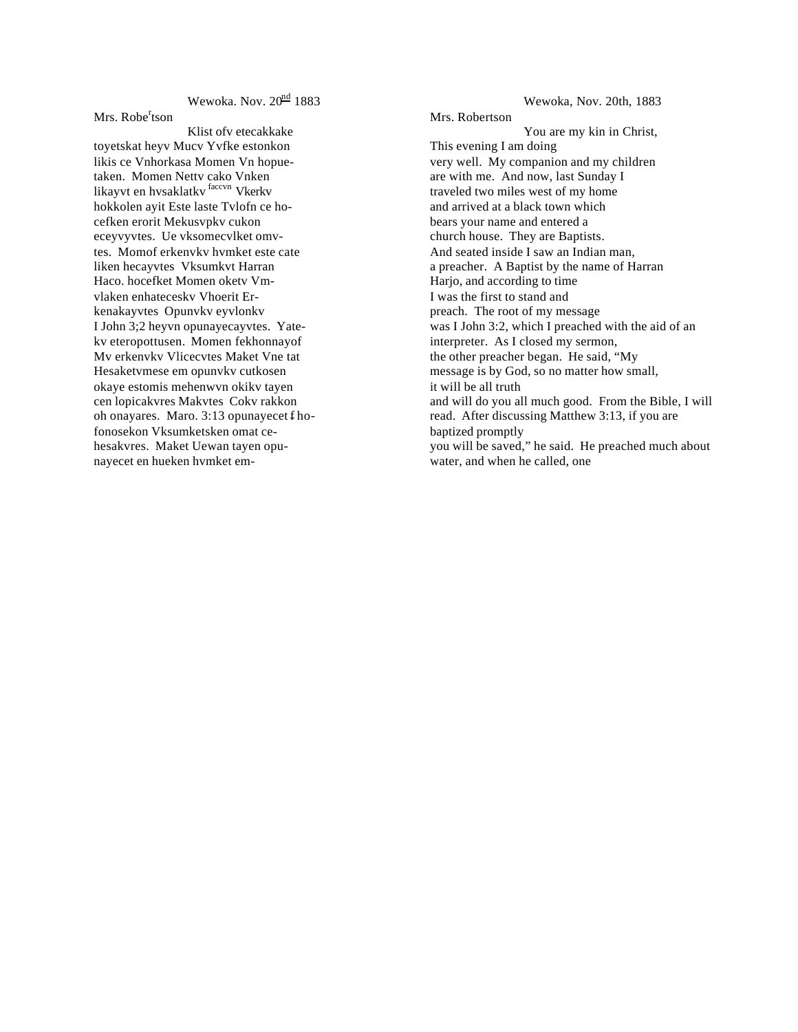Wewoka. Nov.  $20^{\text{nd}}$  1883

Mrs. Robe<sup>r</sup>tson

Klist ofv etecakkake toyetskat heyv Mucv Yvfke estonkon likis ce Vnhorkasa Momen Vn hopuetaken. Momen Nettv cako Vnken likayvt en hvsaklatkv faccvn Vkerkv hokkolen ayit Este laste Tvlofn ce hocefken erorit Mekusvpkv cukon eceyvyvtes. Ue vksomecvlket omvtes. Momof erkenvkv hvmket este cate liken hecayvtes Vksumkvt Harran Haco. hocefket Momen oketv Vmvlaken enhateceskv Vhoerit Erkenakayvtes Opunvkv eyvlonkv I John 3;2 heyvn opunayecayvtes. Yatekv eteropottusen. Momen fekhonnayof Mv erkenvkv Vlicecvtes Maket Vne tat Hesaketvmese em opunvkv cutkosen okaye estomis mehenwvn okikv tayen cen lopicakvres Makvtes Cokv rakkon oh onayares. Maro. 3:13 opunayecet f hofonosekon Vksumketsken omat cehesakvres. Maket Uewan tayen opunayecet en hueken hvmket em-

Wewoka, Nov. 20th, 1883 Mrs. Robertson You are my kin in Christ, This evening I am doing very well. My companion and my children are with me. And now, last Sunday I traveled two miles west of my home and arrived at a black town which bears your name and entered a church house. They are Baptists. And seated inside I saw an Indian man, a preacher. A Baptist by the name of Harran Harjo, and according to time I was the first to stand and preach. The root of my message was I John 3:2, which I preached with the aid of an interpreter. As I closed my sermon, the other preacher began. He said, "My message is by God, so no matter how small, it will be all truth and will do you all much good. From the Bible, I will read. After discussing Matthew 3:13, if you are baptized promptly you will be saved," he said. He preached much about water, and when he called, one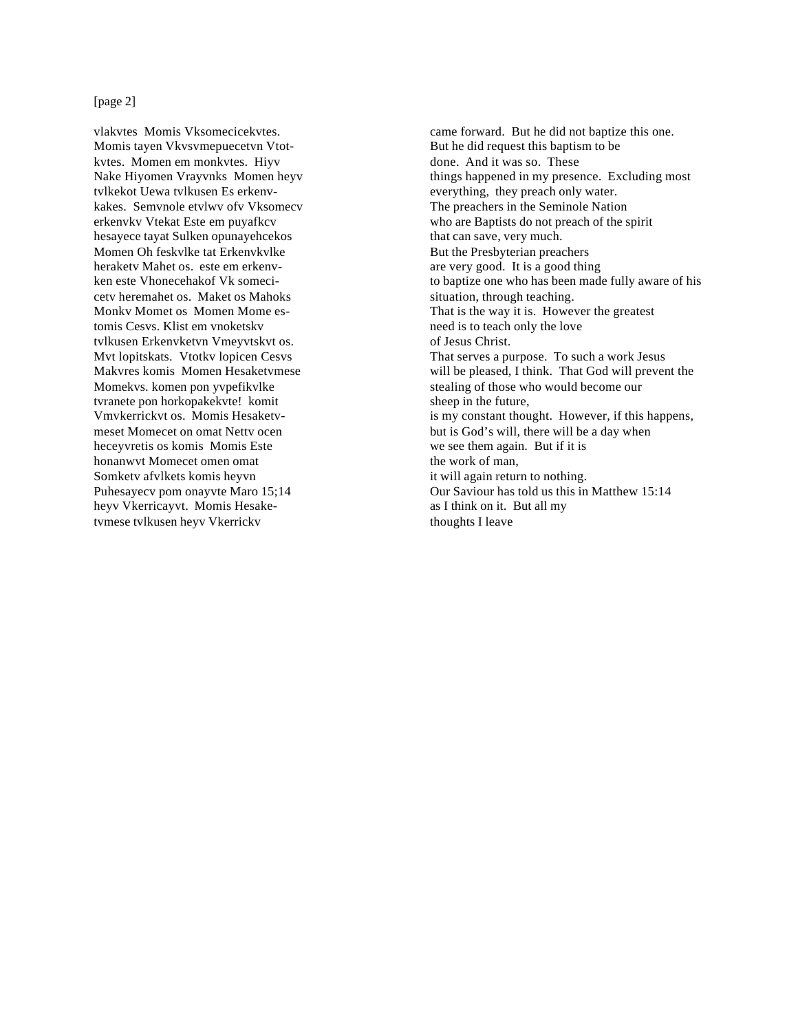## [page 2]

vlakvtes Momis Vksomecicekvtes. Momis tayen Vkvsvmepuecetvn Vtotkvtes. Momen em monkvtes. Hiyv Nake Hiyomen Vrayvnks Momen heyv tvlkekot Uewa tvlkusen Es erkenvkakes. Semvnole etvlwv ofv Vksomecv erkenvkv Vtekat Este em puyafkcv hesayece tayat Sulken opunayehcekos Momen Oh feskvlke tat Erkenvkvlke heraketv Mahet os. este em erkenvken este Vhonecehakof Vk somecicetv heremahet os. Maket os Mahoks Monkv Momet os Momen Mome estomis Cesvs. Klist em vnoketskv tvlkusen Erkenvketvn Vmeyvtskvt os. Mvt lopitskats. Vtotkv lopicen Cesvs Makvres komis Momen Hesaketvmese Momekvs. komen pon yvpefikvlke tvranete pon horkopakekvte! komit Vmvkerrickvt os. Momis Hesaketvmeset Momecet on omat Nettv ocen heceyvretis os komis Momis Este honanwvt Momecet omen omat Somketv afvlkets komis heyvn Puhesayecv pom onayvte Maro 15;14 heyv Vkerricayvt. Momis Hesaketvmese tvlkusen heyv Vkerrickv

came forward. But he did not baptize this one. But he did request this baptism to be done. And it was so. These things happened in my presence. Excluding most everything, they preach only water. The preachers in the Seminole Nation who are Baptists do not preach of the spirit that can save, very much. But the Presbyterian preachers are very good. It is a good thing to baptize one who has been made fully aware of his situation, through teaching. That is the way it is. However the greatest need is to teach only the love of Jesus Christ. That serves a purpose. To such a work Jesus will be pleased, I think. That God will prevent the stealing of those who would become our sheep in the future, is my constant thought. However, if this happens, but is God's will, there will be a day when we see them again. But if it is the work of man, it will again return to nothing. Our Saviour has told us this in Matthew 15:14 as I think on it. But all my thoughts I leave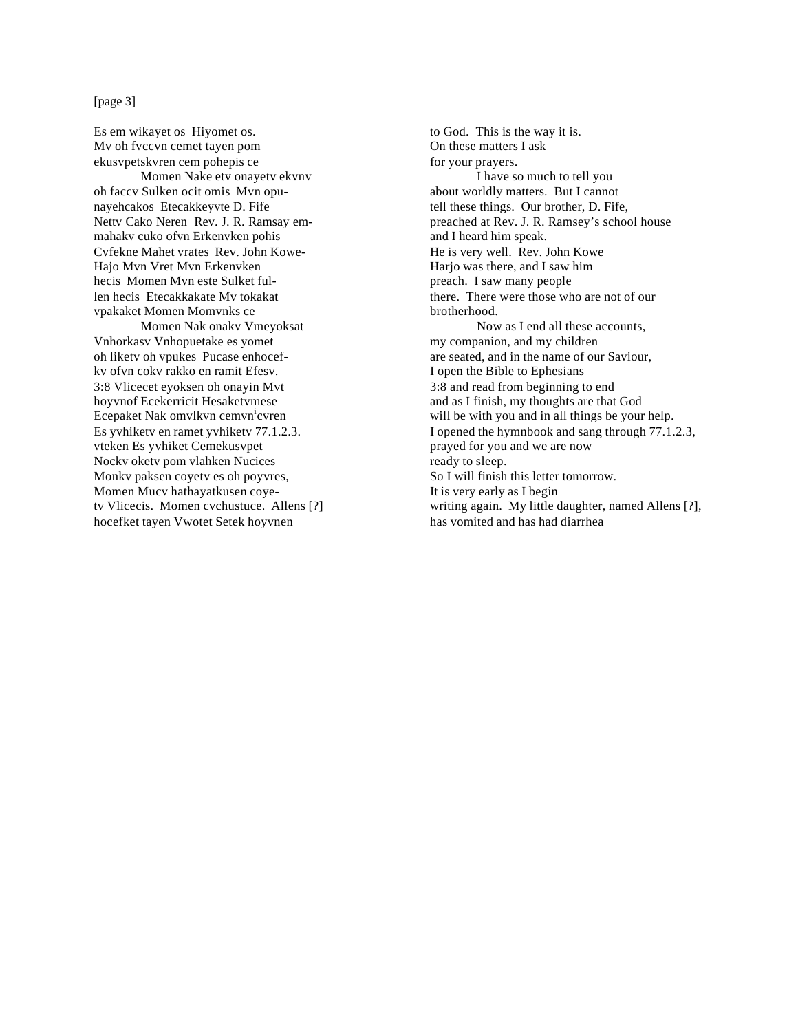## [page 3]

Es em wikayet os Hiyomet os. Mv oh fvccvn cemet tayen pom ekusvpetskvren cem pohepis ce Momen Nake etv onayetv ekvnv oh faccv Sulken ocit omis Mvn opunayehcakos Etecakkeyvte D. Fife Nettv Cako Neren Rev. J. R. Ramsay emmahakv cuko ofvn Erkenvken pohis Cvfekne Mahet vrates Rev. John Kowe-Hajo Mvn Vret Mvn Erkenvken hecis Momen Mvn este Sulket fullen hecis Etecakkakate Mv tokakat vpakaket Momen Momvnks ce Momen Nak onakv Vmeyoksat Vnhorkasv Vnhopuetake es yomet oh liketv oh vpukes Pucase enhocefkv ofvn cokv rakko en ramit Efesv. 3:8 Vlicecet eyoksen oh onayin Mvt hoyvnof Ecekerricit Hesaketvmese Ecepaket Nak omvlkvn cemvn<sup>i</sup>cvren Es yvhiketv en ramet yvhiketv 77.1.2.3. vteken Es yvhiket Cemekusvpet Nockv oketv pom vlahken Nucices Monkv paksen coyetv es oh poyvres, Momen Mucv hathayatkusen coyetv Vlicecis. Momen cvchustuce. Allens [?] hocefket tayen Vwotet Setek hoyvnen

to God. This is the way it is. On these matters I ask for your prayers. I have so much to tell you about worldly matters. But I cannot tell these things. Our brother, D. Fife, preached at Rev. J. R. Ramsey's school house and I heard him speak. He is very well. Rev. John Kowe Harjo was there, and I saw him preach. I saw many people there. There were those who are not of our brotherhood. Now as I end all these accounts, my companion, and my children are seated, and in the name of our Saviour, I open the Bible to Ephesians 3:8 and read from beginning to end and as I finish, my thoughts are that God will be with you and in all things be your help. I opened the hymnbook and sang through 77.1.2.3, prayed for you and we are now ready to sleep. So I will finish this letter tomorrow. It is very early as I begin writing again. My little daughter, named Allens [?], has vomited and has had diarrhea